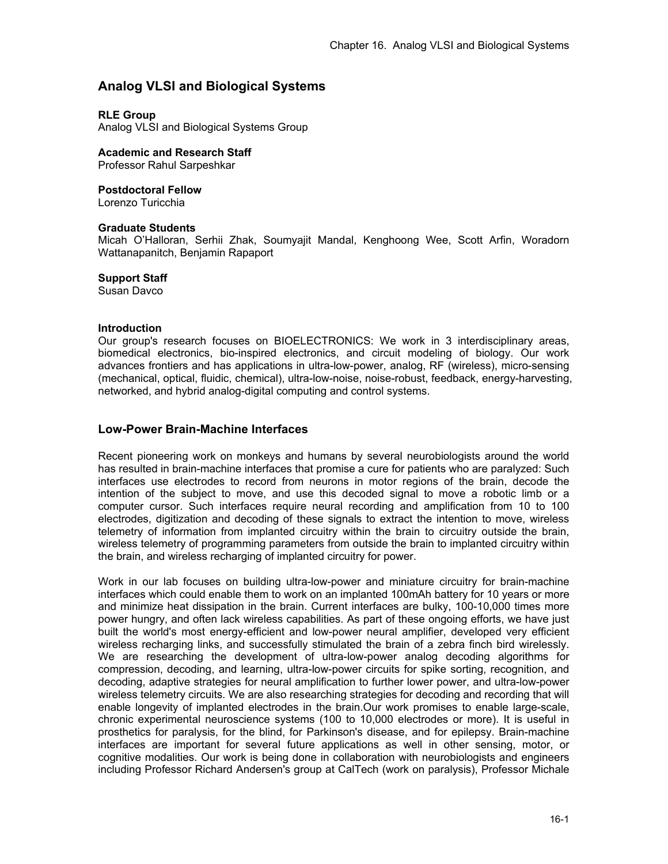# **Analog VLSI and Biological Systems**

### **RLE Group**

Analog VLSI and Biological Systems Group

**Academic and Research Staff**  Professor Rahul Sarpeshkar

**Postdoctoral Fellow** 

Lorenzo Turicchia

### **Graduate Students**

Micah O'Halloran, Serhii Zhak, Soumyajit Mandal, Kenghoong Wee, Scott Arfin, Woradorn Wattanapanitch, Benjamin Rapaport

### **Support Staff**

Susan Davco

#### **Introduction**

Our group's research focuses on BIOELECTRONICS: We work in 3 interdisciplinary areas, biomedical electronics, bio-inspired electronics, and circuit modeling of biology. Our work advances frontiers and has applications in ultra-low-power, analog, RF (wireless), micro-sensing (mechanical, optical, fluidic, chemical), ultra-low-noise, noise-robust, feedback, energy-harvesting, networked, and hybrid analog-digital computing and control systems.

### **Low-Power Brain-Machine Interfaces**

Recent pioneering work on monkeys and humans by several neurobiologists around the world has resulted in brain-machine interfaces that promise a cure for patients who are paralyzed: Such interfaces use electrodes to record from neurons in motor regions of the brain, decode the intention of the subject to move, and use this decoded signal to move a robotic limb or a computer cursor. Such interfaces require neural recording and amplification from 10 to 100 electrodes, digitization and decoding of these signals to extract the intention to move, wireless telemetry of information from implanted circuitry within the brain to circuitry outside the brain, wireless telemetry of programming parameters from outside the brain to implanted circuitry within the brain, and wireless recharging of implanted circuitry for power.

Work in our lab focuses on building ultra-low-power and miniature circuitry for brain-machine interfaces which could enable them to work on an implanted 100mAh battery for 10 years or more and minimize heat dissipation in the brain. Current interfaces are bulky, 100-10,000 times more power hungry, and often lack wireless capabilities. As part of these ongoing efforts, we have just built the world's most energy-efficient and low-power neural amplifier, developed very efficient wireless recharging links, and successfully stimulated the brain of a zebra finch bird wirelessly. We are researching the development of ultra-low-power analog decoding algorithms for compression, decoding, and learning, ultra-low-power circuits for spike sorting, recognition, and decoding, adaptive strategies for neural amplification to further lower power, and ultra-low-power wireless telemetry circuits. We are also researching strategies for decoding and recording that will enable longevity of implanted electrodes in the brain.Our work promises to enable large-scale, chronic experimental neuroscience systems (100 to 10,000 electrodes or more). It is useful in prosthetics for paralysis, for the blind, for Parkinson's disease, and for epilepsy. Brain-machine interfaces are important for several future applications as well in other sensing, motor, or cognitive modalities. Our work is being done in collaboration with neurobiologists and engineers including Professor Richard Andersen's group at CalTech (work on paralysis), Professor Michale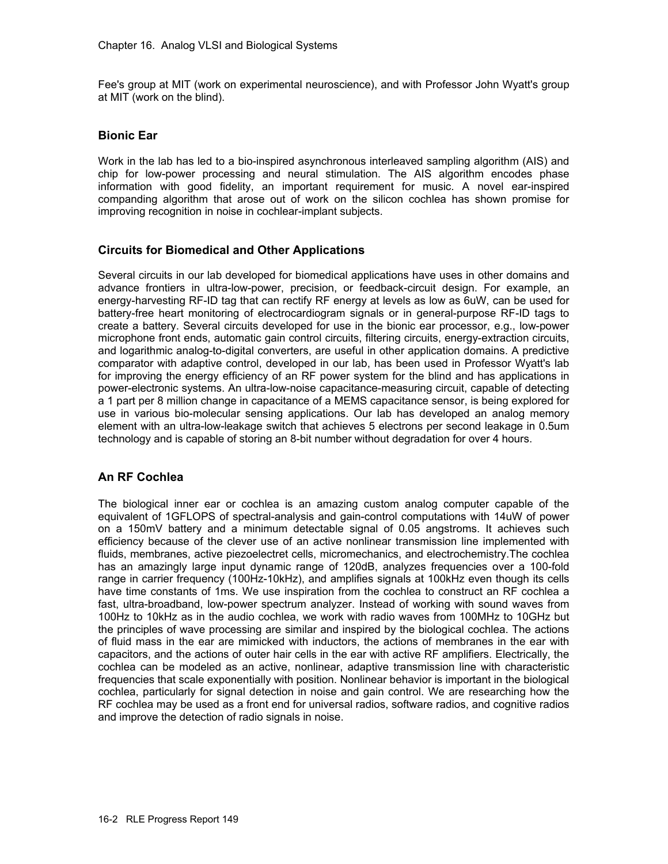Fee's group at MIT (work on experimental neuroscience), and with Professor John Wyatt's group at MIT (work on the blind).

### **Bionic Ear**

Work in the lab has led to a bio-inspired asynchronous interleaved sampling algorithm (AIS) and chip for low-power processing and neural stimulation. The AIS algorithm encodes phase information with good fidelity, an important requirement for music. A novel ear-inspired companding algorithm that arose out of work on the silicon cochlea has shown promise for improving recognition in noise in cochlear-implant subjects.

### **Circuits for Biomedical and Other Applications**

Several circuits in our lab developed for biomedical applications have uses in other domains and advance frontiers in ultra-low-power, precision, or feedback-circuit design. For example, an energy-harvesting RF-ID tag that can rectify RF energy at levels as low as 6uW, can be used for battery-free heart monitoring of electrocardiogram signals or in general-purpose RF-ID tags to create a battery. Several circuits developed for use in the bionic ear processor, e.g., low-power microphone front ends, automatic gain control circuits, filtering circuits, energy-extraction circuits, and logarithmic analog-to-digital converters, are useful in other application domains. A predictive comparator with adaptive control, developed in our lab, has been used in Professor Wyatt's lab for improving the energy efficiency of an RF power system for the blind and has applications in power-electronic systems. An ultra-low-noise capacitance-measuring circuit, capable of detecting a 1 part per 8 million change in capacitance of a MEMS capacitance sensor, is being explored for use in various bio-molecular sensing applications. Our lab has developed an analog memory element with an ultra-low-leakage switch that achieves 5 electrons per second leakage in 0.5um technology and is capable of storing an 8-bit number without degradation for over 4 hours.

### **An RF Cochlea**

The biological inner ear or cochlea is an amazing custom analog computer capable of the equivalent of 1GFLOPS of spectral-analysis and gain-control computations with 14uW of power on a 150mV battery and a minimum detectable signal of 0.05 angstroms. It achieves such efficiency because of the clever use of an active nonlinear transmission line implemented with fluids, membranes, active piezoelectret cells, micromechanics, and electrochemistry.The cochlea has an amazingly large input dynamic range of 120dB, analyzes frequencies over a 100-fold range in carrier frequency (100Hz-10kHz), and amplifies signals at 100kHz even though its cells have time constants of 1ms. We use inspiration from the cochlea to construct an RF cochlea a fast, ultra-broadband, low-power spectrum analyzer. Instead of working with sound waves from 100Hz to 10kHz as in the audio cochlea, we work with radio waves from 100MHz to 10GHz but the principles of wave processing are similar and inspired by the biological cochlea. The actions of fluid mass in the ear are mimicked with inductors, the actions of membranes in the ear with capacitors, and the actions of outer hair cells in the ear with active RF amplifiers. Electrically, the cochlea can be modeled as an active, nonlinear, adaptive transmission line with characteristic frequencies that scale exponentially with position. Nonlinear behavior is important in the biological cochlea, particularly for signal detection in noise and gain control. We are researching how the RF cochlea may be used as a front end for universal radios, software radios, and cognitive radios and improve the detection of radio signals in noise.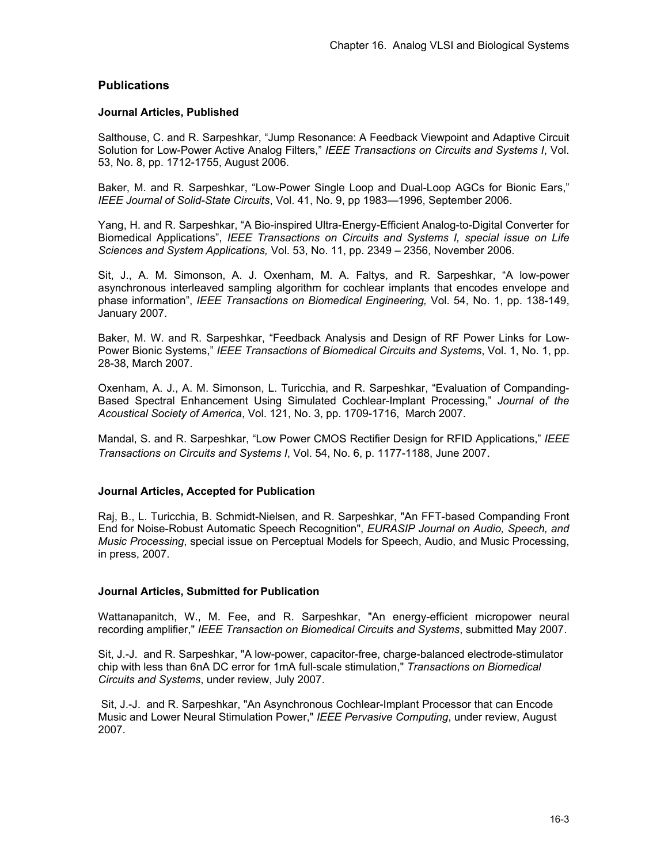## **Publications**

### **Journal Articles, Published**

Salthouse, C. and R. Sarpeshkar, "Jump Resonance: A Feedback Viewpoint and Adaptive Circuit Solution for Low-Power Active Analog Filters," *IEEE Transactions on Circuits and Systems I*, Vol. 53, No. 8, pp. 1712-1755, August 2006.

Baker, M. and R. Sarpeshkar, "Low-Power Single Loop and Dual-Loop AGCs for Bionic Ears," *IEEE Journal of Solid-State Circuits*, Vol. 41, No. 9, pp 1983—1996, September 2006.

Yang, H. and R. Sarpeshkar, "A Bio-inspired Ultra-Energy-Efficient Analog-to-Digital Converter for Biomedical Applications", *IEEE Transactions on Circuits and Systems I, special issue on Life Sciences and System Applications,* Vol. 53, No. 11, pp. 2349 – 2356, November 2006.

Sit, J., A. M. Simonson, A. J. Oxenham, M. A. Faltys, and R. Sarpeshkar, "A low-power asynchronous interleaved sampling algorithm for cochlear implants that encodes envelope and phase information", *IEEE Transactions on Biomedical Engineering,* Vol. 54, No. 1, pp. 138-149, January 2007.

Baker, M. W. and R. Sarpeshkar, "Feedback Analysis and Design of RF Power Links for Low-Power Bionic Systems," *IEEE Transactions of Biomedical Circuits and Systems*, Vol. 1, No. 1, pp. 28-38, March 2007.

Oxenham, A. J., A. M. Simonson, L. Turicchia, and R. Sarpeshkar, "Evaluation of Companding-Based Spectral Enhancement Using Simulated Cochlear-Implant Processing," *Journal of the Acoustical Society of America*, Vol. 121, No. 3, pp. 1709-1716, March 2007.

Mandal, S. and R. Sarpeshkar, "Low Power CMOS Rectifier Design for RFID Applications," *IEEE Transactions on Circuits and Systems I*, Vol. 54, No. 6, p. 1177-1188, June 2007.

### **Journal Articles, Accepted for Publication**

Raj, B., L. Turicchia, B. Schmidt-Nielsen, and R. Sarpeshkar, "An FFT-based Companding Front End for Noise-Robust Automatic Speech Recognition", *EURASIP Journal on Audio, Speech, and Music Processing*, special issue on Perceptual Models for Speech, Audio, and Music Processing, in press, 2007.

### **Journal Articles, Submitted for Publication**

Wattanapanitch, W., M. Fee, and R. Sarpeshkar, "An energy-efficient micropower neural recording amplifier," *IEEE Transaction on Biomedical Circuits and Systems*, submitted May 2007.

Sit, J.-J. and R. Sarpeshkar, "A low-power, capacitor-free, charge-balanced electrode-stimulator chip with less than 6nA DC error for 1mA full-scale stimulation," *Transactions on Biomedical Circuits and Systems*, under review, July 2007.

 Sit, J.-J. and R. Sarpeshkar, "An Asynchronous Cochlear-Implant Processor that can Encode Music and Lower Neural Stimulation Power," *IEEE Pervasive Computing*, under review, August 2007.